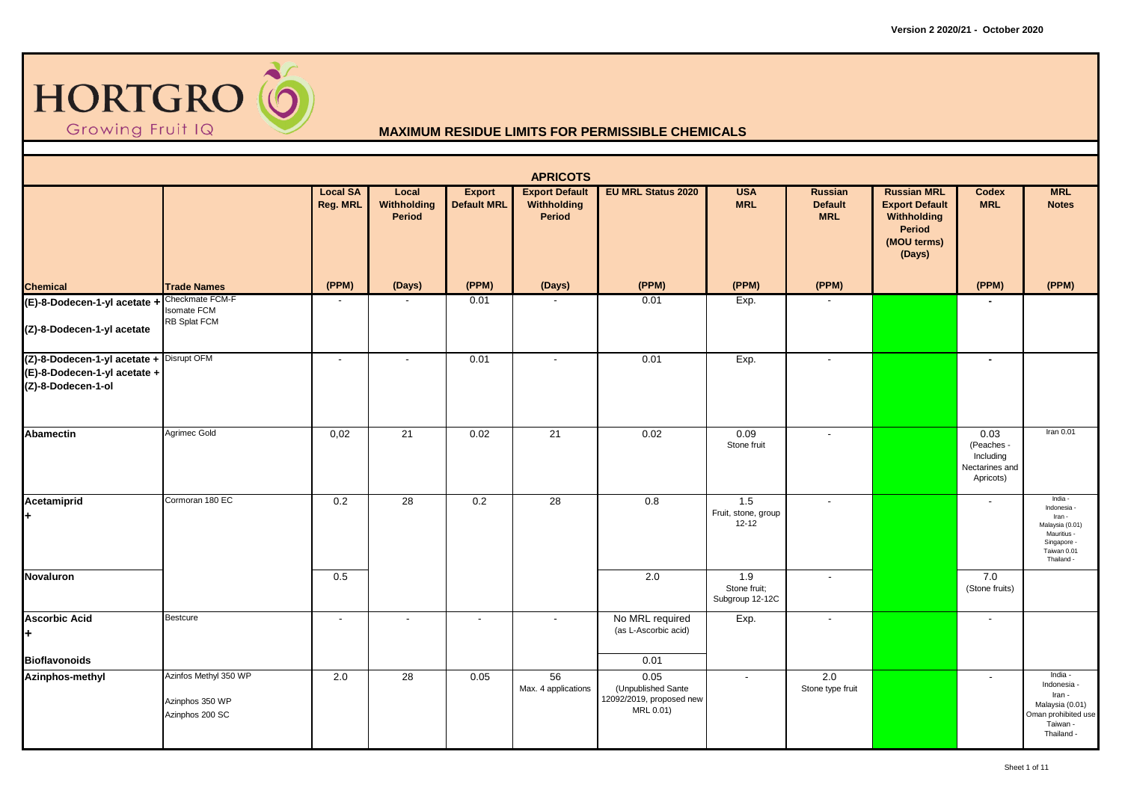

|                                                                                                |                                                             |                                    |                                |                              | <b>APRICOTS</b>                                |                                                                     |                                         |                                         |                                                                                               |                                                                |                                                                                                              |
|------------------------------------------------------------------------------------------------|-------------------------------------------------------------|------------------------------------|--------------------------------|------------------------------|------------------------------------------------|---------------------------------------------------------------------|-----------------------------------------|-----------------------------------------|-----------------------------------------------------------------------------------------------|----------------------------------------------------------------|--------------------------------------------------------------------------------------------------------------|
|                                                                                                |                                                             | <b>Local SA</b><br><b>Reg. MRL</b> | Local<br>Withholding<br>Period | Export<br><b>Default MRL</b> | <b>Export Default</b><br>Withholding<br>Period | <b>EU MRL Status 2020</b>                                           | <b>USA</b><br><b>MRL</b>                | Russian<br><b>Default</b><br><b>MRL</b> | <b>Russian MRL</b><br><b>Export Default</b><br>Withholding<br>Period<br>(MOU terms)<br>(Days) | <b>Codex</b><br><b>MRL</b>                                     | <b>MRL</b><br><b>Notes</b>                                                                                   |
| <b>Chemical</b>                                                                                | <b>Trade Names</b>                                          | (PPM)                              | (Days)                         | (PPM)                        | (Days)                                         | (PPM)                                                               | (PPM)                                   | (PPM)                                   |                                                                                               | (PPM)                                                          | (PPM)                                                                                                        |
| (E)-8-Dodecen-1-yl acetate + Checkmate FCM-F<br>(Z)-8-Dodecen-1-yl acetate                     | <b>Isomate FCM</b><br>RB Splat FCM                          | $\overline{\phantom{0}}$           |                                | 0.01                         |                                                | 0.01                                                                | Exp.                                    |                                         |                                                                                               |                                                                |                                                                                                              |
| (Z)-8-Dodecen-1-yl acetate + Disrupt OFM<br>(E)-8-Dodecen-1-yl acetate +<br>(Z)-8-Dodecen-1-ol |                                                             | $\sim$                             | $\overline{\phantom{a}}$       | 0.01                         |                                                | 0.01                                                                | Exp.                                    | $\blacksquare$                          |                                                                                               | $\sim$                                                         |                                                                                                              |
| <b>Abamectin</b>                                                                               | Agrimec Gold                                                | 0,02                               | 21                             | 0.02                         | $\overline{21}$                                | 0.02                                                                | 0.09<br>Stone fruit                     | $\blacksquare$                          |                                                                                               | 0.03<br>(Peaches -<br>Including<br>Nectarines and<br>Apricots) | Iran $0.01$                                                                                                  |
| Acetamiprid<br>÷.                                                                              | Cormoran 180 EC                                             | 0.2                                | 28                             | 0.2                          | 28                                             | 0.8                                                                 | 1.5<br>Fruit, stone, group<br>$12 - 12$ | $\blacksquare$                          |                                                                                               |                                                                | India -<br>Indonesia<br>Iran -<br>Malaysia (0.01)<br>Mauritius -<br>Singapore -<br>Taiwan 0.01<br>Thailand - |
| Novaluron                                                                                      |                                                             | 0.5                                |                                |                              |                                                | 2.0                                                                 | 1.9<br>Stone fruit;<br>Subgroup 12-12C  | $\overline{\phantom{a}}$                |                                                                                               | 7.0<br>(Stone fruits)                                          |                                                                                                              |
| <b>Ascorbic Acid</b><br>H.                                                                     | <b>Bestcure</b>                                             | $\overline{\phantom{a}}$           |                                |                              | $\sim$                                         | No MRL required<br>(as L-Ascorbic acid)                             | Exp.                                    | $\blacksquare$                          |                                                                                               |                                                                |                                                                                                              |
| <b>Bioflavonoids</b>                                                                           |                                                             |                                    |                                |                              |                                                | 0.01                                                                |                                         |                                         |                                                                                               |                                                                |                                                                                                              |
| Azinphos-methyl                                                                                | Azinfos Methyl 350 WP<br>Azinphos 350 WP<br>Azinphos 200 SC | 2.0                                | 28                             | 0.05                         | 56<br>Max. 4 applications                      | 0.05<br>(Unpublished Sante<br>12092/2019, proposed new<br>MRL 0.01) | $\sim$                                  | 2.0<br>Stone type fruit                 |                                                                                               | $\overline{\phantom{a}}$                                       | India -<br>Indonesia -<br>Iran -<br>Malaysia (0.01)<br>Oman prohibited use<br>Taiwan -<br>Thailand -         |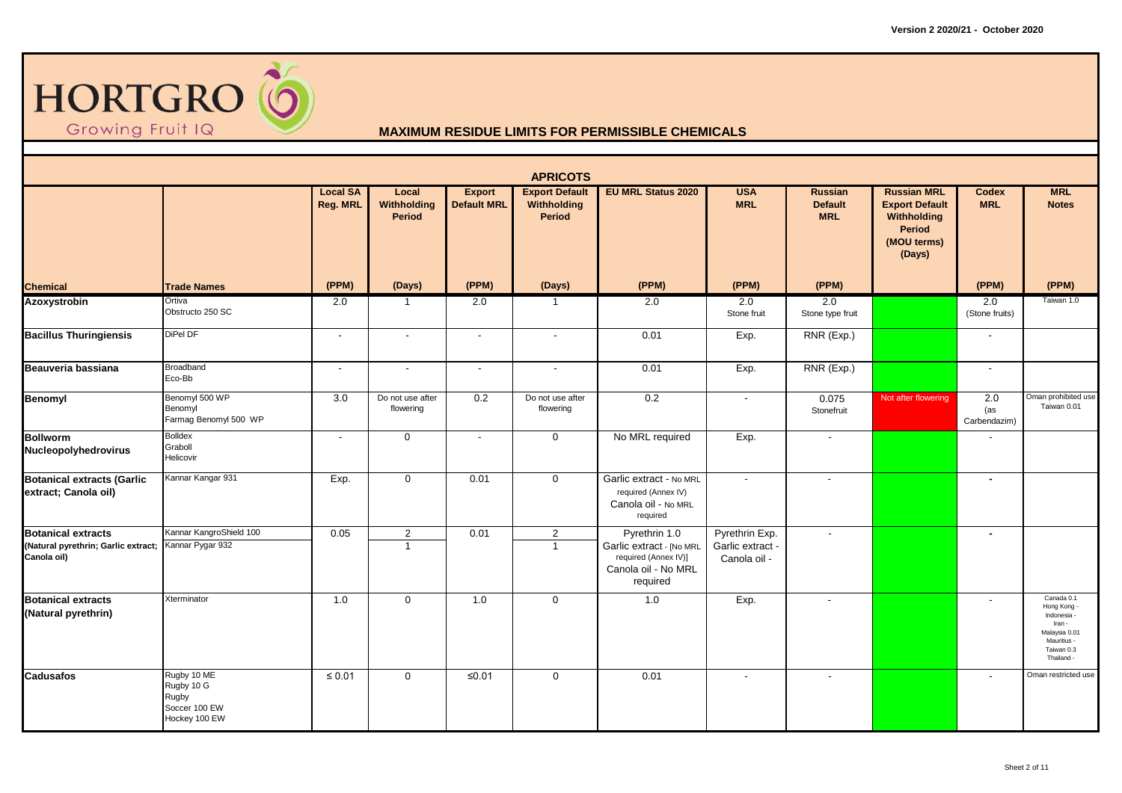

|                                                                                 |                                                                      |                             |                                  |                                     | <b>APRICOTS</b>                                |                                                                                                      |                                                    |                                                |                                                                                                             |                            |                                                                                                                |
|---------------------------------------------------------------------------------|----------------------------------------------------------------------|-----------------------------|----------------------------------|-------------------------------------|------------------------------------------------|------------------------------------------------------------------------------------------------------|----------------------------------------------------|------------------------------------------------|-------------------------------------------------------------------------------------------------------------|----------------------------|----------------------------------------------------------------------------------------------------------------|
|                                                                                 |                                                                      | <b>Local SA</b><br>Reg. MRL | Local<br>Withholding<br>Period   | <b>Export</b><br><b>Default MRL</b> | <b>Export Default</b><br>Withholding<br>Period | <b>EU MRL Status 2020</b>                                                                            | <b>USA</b><br><b>MRL</b>                           | <b>Russian</b><br><b>Default</b><br><b>MRL</b> | <b>Russian MRL</b><br><b>Export Default</b><br><b>Withholding</b><br><b>Period</b><br>(MOU terms)<br>(Days) | <b>Codex</b><br><b>MRL</b> | <b>MRL</b><br><b>Notes</b>                                                                                     |
| <b>Chemical</b>                                                                 | <b>Trade Names</b>                                                   | (PPM)                       | (Days)                           | (PPM)                               | (Days)                                         | (PPM)                                                                                                | (PPM)                                              | (PPM)                                          |                                                                                                             | (PPM)                      | (PPM)                                                                                                          |
| <b>Azoxystrobin</b>                                                             | Ortiva<br>Obstructo 250 SC                                           | 2.0                         | $\overline{1}$                   | 2.0                                 | $\mathbf{1}$                                   | 2.0                                                                                                  | 2.0<br>Stone fruit                                 | 2.0<br>Stone type fruit                        |                                                                                                             | 2.0<br>(Stone fruits)      | Taiwan 1.0                                                                                                     |
| <b>Bacillus Thuringiensis</b>                                                   | DiPel DF                                                             | $\sim$                      | $\sim$                           | $\sim$                              | $\sim$                                         | 0.01                                                                                                 | Exp.                                               | RNR (Exp.)                                     |                                                                                                             | $\overline{\phantom{a}}$   |                                                                                                                |
| Beauveria bassiana                                                              | Broadband<br>Eco-Bb                                                  | $\sim$                      | $\sim$                           | $\sim$                              | $\overline{\phantom{a}}$                       | 0.01                                                                                                 | Exp.                                               | RNR (Exp.)                                     |                                                                                                             | $\overline{\phantom{a}}$   |                                                                                                                |
| Benomyl                                                                         | Benomyl 500 WP<br>Benomyl<br>Farmag Benomyl 500 WP                   | 3.0                         | Do not use after<br>flowering    | 0.2                                 | Do not use after<br>flowering                  | 0.2                                                                                                  | $\sim$                                             | 0.075<br>Stonefruit                            | Not after flowering                                                                                         | 2.0<br>(as<br>Carbendazim) | Oman prohibited use<br>Taiwan 0.01                                                                             |
| <b>Bollworm</b><br>Nucleopolyhedrovirus                                         | <b>Bolldex</b><br>Graboll<br>Helicovir                               | $\sim$                      | $\mathbf 0$                      |                                     | $\mathbf 0$                                    | No MRL required                                                                                      | Exp.                                               | $\blacksquare$                                 |                                                                                                             |                            |                                                                                                                |
| <b>Botanical extracts (Garlic</b><br>extract; Canola oil)                       | Kannar Kangar 931                                                    | Exp.                        | $\mathbf 0$                      | 0.01                                | $\mathbf 0$                                    | Garlic extract - No MRL<br>required (Annex IV)<br>Canola oil - No MRL<br>required                    | $\sim$                                             | $\sim$                                         |                                                                                                             | $\blacksquare$             |                                                                                                                |
| <b>Botanical extracts</b><br>(Natural pyrethrin; Garlic extract;<br>Canola oil) | Kannar KangroShield 100<br>Kannar Pygar 932                          | 0.05                        | $\overline{2}$<br>$\overline{1}$ | 0.01                                | $\overline{2}$<br>$\blacktriangleleft$         | Pyrethrin 1.0<br>Garlic extract - [No MRL<br>required (Annex IV)]<br>Canola oil - No MRL<br>required | Pyrethrin Exp.<br>Garlic extract -<br>Canola oil - | $\overline{\phantom{a}}$                       |                                                                                                             |                            |                                                                                                                |
| <b>Botanical extracts</b><br>(Natural pyrethrin)                                | Xterminator                                                          | 1.0                         | $\mathbf 0$                      | 1.0                                 | $\mathbf 0$                                    | 1.0                                                                                                  | Exp.                                               | $\overline{\phantom{a}}$                       |                                                                                                             |                            | Canada 0.1<br>Hong Kong -<br>Indonesia -<br>Iran -<br>Malaysia 0.01<br>Mauritius -<br>Taiwan 0.3<br>Thailand - |
| Cadusafos                                                                       | Rugby 10 ME<br>Rugby 10 G<br>Rugby<br>Soccer 100 EW<br>Hockey 100 EW | $\leq 0.01$                 | $\mathbf 0$                      | $≤0.01$                             | $\mathbf 0$                                    | 0.01                                                                                                 | $\blacksquare$                                     | $\blacksquare$                                 |                                                                                                             |                            | Oman restricted use                                                                                            |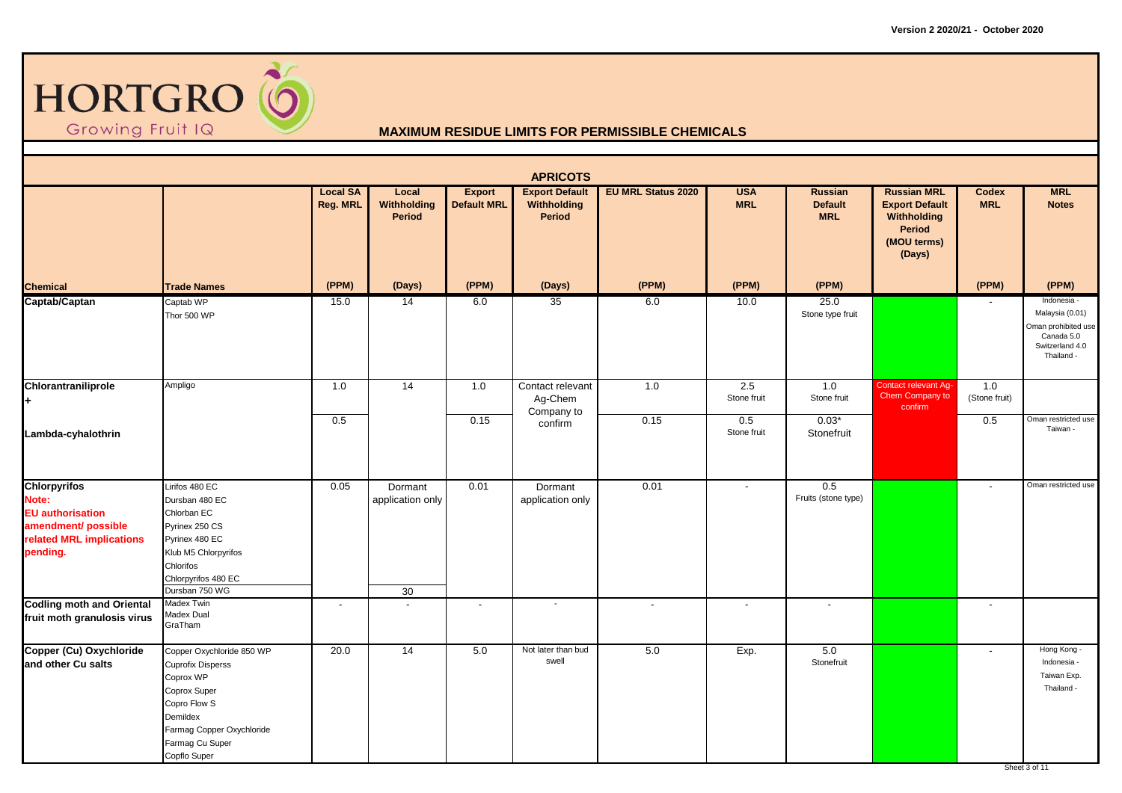

|                                                                                                                 |                                                                                                                                                                                |                                    |                                   |                                     | <b>APRICOTS</b>                                       |                           |                          |                                                |                                                                                                      |                            |                                                                                                      |
|-----------------------------------------------------------------------------------------------------------------|--------------------------------------------------------------------------------------------------------------------------------------------------------------------------------|------------------------------------|-----------------------------------|-------------------------------------|-------------------------------------------------------|---------------------------|--------------------------|------------------------------------------------|------------------------------------------------------------------------------------------------------|----------------------------|------------------------------------------------------------------------------------------------------|
|                                                                                                                 |                                                                                                                                                                                | <b>Local SA</b><br><b>Reg. MRL</b> | Local<br>Withholding<br>Period    | <b>Export</b><br><b>Default MRL</b> | <b>Export Default</b><br>Withholding<br><b>Period</b> | <b>EU MRL Status 2020</b> | <b>USA</b><br><b>MRL</b> | <b>Russian</b><br><b>Default</b><br><b>MRL</b> | <b>Russian MRL</b><br><b>Export Default</b><br>Withholding<br><b>Period</b><br>(MOU terms)<br>(Days) | <b>Codex</b><br><b>MRL</b> | <b>MRL</b><br><b>Notes</b>                                                                           |
| <b>Chemical</b>                                                                                                 | <b>Trade Names</b>                                                                                                                                                             | (PPM)                              | (Days)                            | (PPM)                               | (Days)                                                | (PPM)                     | (PPM)                    | (PPM)                                          |                                                                                                      | (PPM)                      | (PPM)                                                                                                |
| Captab/Captan                                                                                                   | Captab WP<br>Thor 500 WP                                                                                                                                                       | 15.0                               | 14                                | 6.0                                 | 35                                                    | 6.0                       | 10.0                     | 25.0<br>Stone type fruit                       |                                                                                                      |                            | Indonesia -<br>Malaysia (0.01)<br>Oman prohibited use<br>Canada 5.0<br>Switzerland 4.0<br>Thailand - |
| Chlorantraniliprole<br>H.                                                                                       | Ampligo                                                                                                                                                                        | 1.0                                | 14                                | 1.0                                 | Contact relevant<br>Ag-Chem<br>Company to             | 1.0                       | 2.5<br>Stone fruit       | 1.0<br>Stone fruit                             | Contact relevant Ag-<br>Chem Company to<br>confirm                                                   | 1.0<br>(Stone fruit)       |                                                                                                      |
| Lambda-cyhalothrin                                                                                              |                                                                                                                                                                                | 0.5                                |                                   | 0.15                                | confirm                                               | 0.15                      | 0.5<br>Stone fruit       | $0.03*$<br>Stonefruit                          |                                                                                                      | 0.5                        | Oman restricted use<br>Taiwan -                                                                      |
| Chlorpyrifos<br>Note:<br><b>EU</b> authorisation<br>amendment/ possible<br>related MRL implications<br>pending. | Lirifos 480 EC<br>Dursban 480 EC<br>Chlorban EC<br>Pyrinex 250 CS<br>Pyrinex 480 EC<br>Klub M5 Chlorpyrifos<br>Chlorifos<br>Chlorpyrifos 480 EC<br>Dursban 750 WG              | 0.05                               | Dormant<br>application only<br>30 | 0.01                                | Dormant<br>application only                           | 0.01                      | $\overline{a}$           | 0.5<br>Fruits (stone type)                     |                                                                                                      | $\overline{\phantom{a}}$   | Oman restricted use                                                                                  |
| <b>Codling moth and Oriental</b><br>fruit moth granulosis virus                                                 | Madex Twin<br>Madex Dual<br>GraTham                                                                                                                                            | $\overline{\phantom{a}}$           | $\overline{\phantom{a}}$          | $\overline{\phantom{a}}$            |                                                       | $\overline{\phantom{a}}$  | $\overline{\phantom{a}}$ |                                                |                                                                                                      | $\overline{\phantom{a}}$   |                                                                                                      |
| Copper (Cu) Oxychloride<br>and other Cu salts                                                                   | Copper Oxychloride 850 WP<br><b>Cuprofix Disperss</b><br>Coprox WP<br>Coprox Super<br>Copro Flow S<br>Demildex<br>Farmag Copper Oxychloride<br>Farmag Cu Super<br>Copflo Super | 20.0                               | 14                                | 5.0                                 | Not later than bud<br>swell                           | $5.0\,$                   | Exp.                     | 5.0<br>Stonefruit                              |                                                                                                      | $\sim$                     | Hong Kong -<br>Indonesia -<br>Taiwan Exp.<br>Thailand -<br>Sheet 3 of 11                             |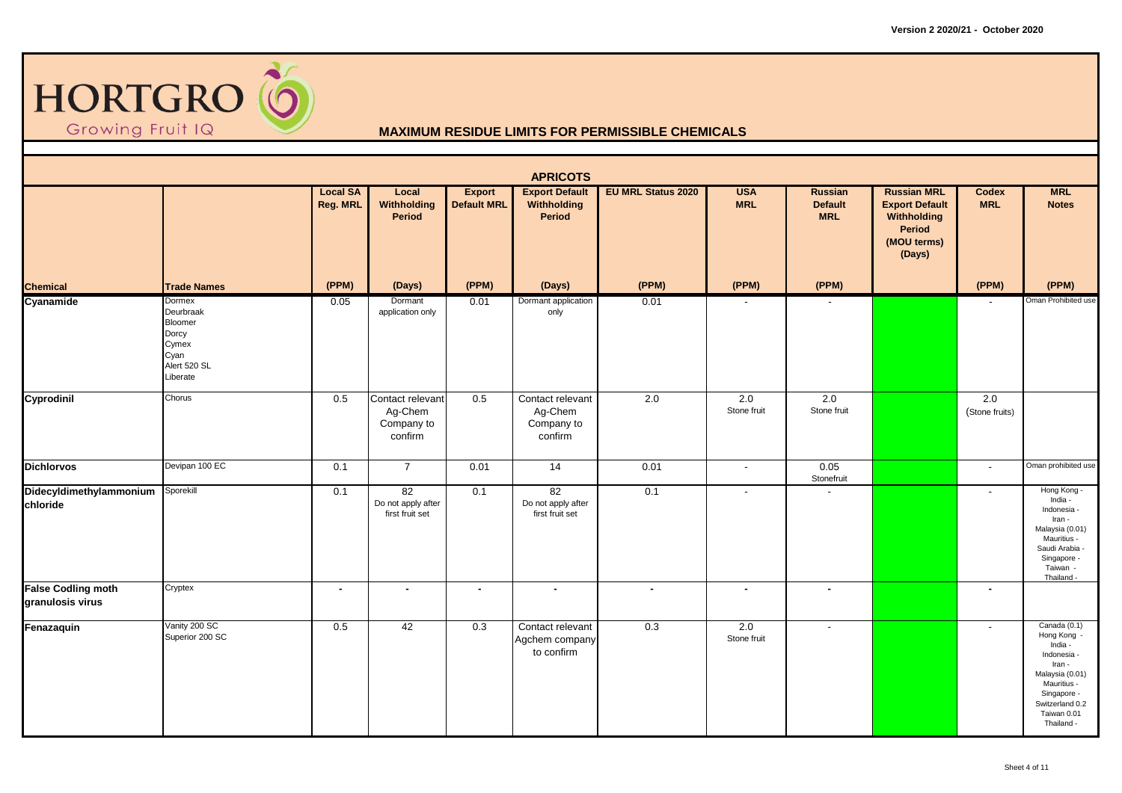

|                                               |                                                                                      |                                    |                                                      |                                     | <b>APRICOTS</b>                                      |                           |                          |                                         |                                                                                               |                          |                                                                                                                                                                  |
|-----------------------------------------------|--------------------------------------------------------------------------------------|------------------------------------|------------------------------------------------------|-------------------------------------|------------------------------------------------------|---------------------------|--------------------------|-----------------------------------------|-----------------------------------------------------------------------------------------------|--------------------------|------------------------------------------------------------------------------------------------------------------------------------------------------------------|
|                                               |                                                                                      | <b>Local SA</b><br><b>Reg. MRL</b> | Local<br>Withholding<br>Period                       | <b>Export</b><br><b>Default MRL</b> | <b>Export Default</b><br>Withholding<br>Period       | <b>EU MRL Status 2020</b> | <b>USA</b><br><b>MRL</b> | Russian<br><b>Default</b><br><b>MRL</b> | <b>Russian MRL</b><br><b>Export Default</b><br>Withholding<br>Period<br>(MOU terms)<br>(Days) | Codex<br><b>MRL</b>      | <b>MRL</b><br><b>Notes</b>                                                                                                                                       |
| <b>Chemical</b>                               | <b>Trade Names</b>                                                                   | (PPM)                              | (Days)                                               | (PPM)                               | (Days)                                               | (PPM)                     | (PPM)                    | (PPM)                                   |                                                                                               | (PPM)                    | (PPM)                                                                                                                                                            |
| Cyanamide                                     | Dormex<br>Deurbraak<br>Bloomer<br>Dorcy<br>Cymex<br>Cyan<br>Alert 520 SL<br>Liberate | 0.05                               | Dormant<br>application only                          | 0.01                                | Dormant application<br>only                          | 0.01                      | $\overline{\phantom{a}}$ |                                         |                                                                                               | $\sim$                   | Oman Prohibited use                                                                                                                                              |
| Cyprodinil                                    | Chorus                                                                               | 0.5                                | Contact relevant<br>Ag-Chem<br>Company to<br>confirm | 0.5                                 | Contact relevant<br>Ag-Chem<br>Company to<br>confirm | 2.0                       | 2.0<br>Stone fruit       | 2.0<br>Stone fruit                      |                                                                                               | 2.0<br>(Stone fruits)    |                                                                                                                                                                  |
| <b>Dichlorvos</b>                             | Devipan 100 EC                                                                       | 0.1                                | $\overline{7}$                                       | 0.01                                | 14                                                   | 0.01                      | $\overline{\phantom{a}}$ | 0.05<br>Stonefruit                      |                                                                                               | $\sim$                   | Oman prohibited use                                                                                                                                              |
| Didecyldimethylammonium<br>chloride           | Sporekill                                                                            | 0.1                                | 82<br>Do not apply after<br>first fruit set          | 0.1                                 | 82<br>Do not apply after<br>first fruit set          | 0.1                       | $\overline{\phantom{a}}$ |                                         |                                                                                               | $\overline{\phantom{a}}$ | Hong Kong -<br>India -<br>Indonesia -<br>Iran -<br>Malaysia (0.01)<br>Mauritius -<br>Saudi Arabia<br>Singapore -<br>Taiwan -<br>Thailand -                       |
| <b>False Codling moth</b><br>granulosis virus | Cryptex                                                                              | $\sim$                             | $\blacksquare$                                       | $\sim$                              | $\bullet$                                            | $\blacksquare$            | $\blacksquare$           | $\sim$                                  |                                                                                               | $\blacksquare$           |                                                                                                                                                                  |
| Fenazaquin                                    | Vanity 200 SC<br>Superior 200 SC                                                     | 0.5                                | 42                                                   | 0.3                                 | Contact relevant<br>Agchem company<br>to confirm     | $\overline{0.3}$          | 2.0<br>Stone fruit       | $\sim$                                  |                                                                                               | $\sim$                   | Canada (0.1)<br>Hong Kong -<br>India -<br>Indonesia -<br>Iran -<br>Malaysia (0.01)<br>Mauritius -<br>Singapore -<br>Switzerland 0.2<br>Taiwan 0.01<br>Thailand - |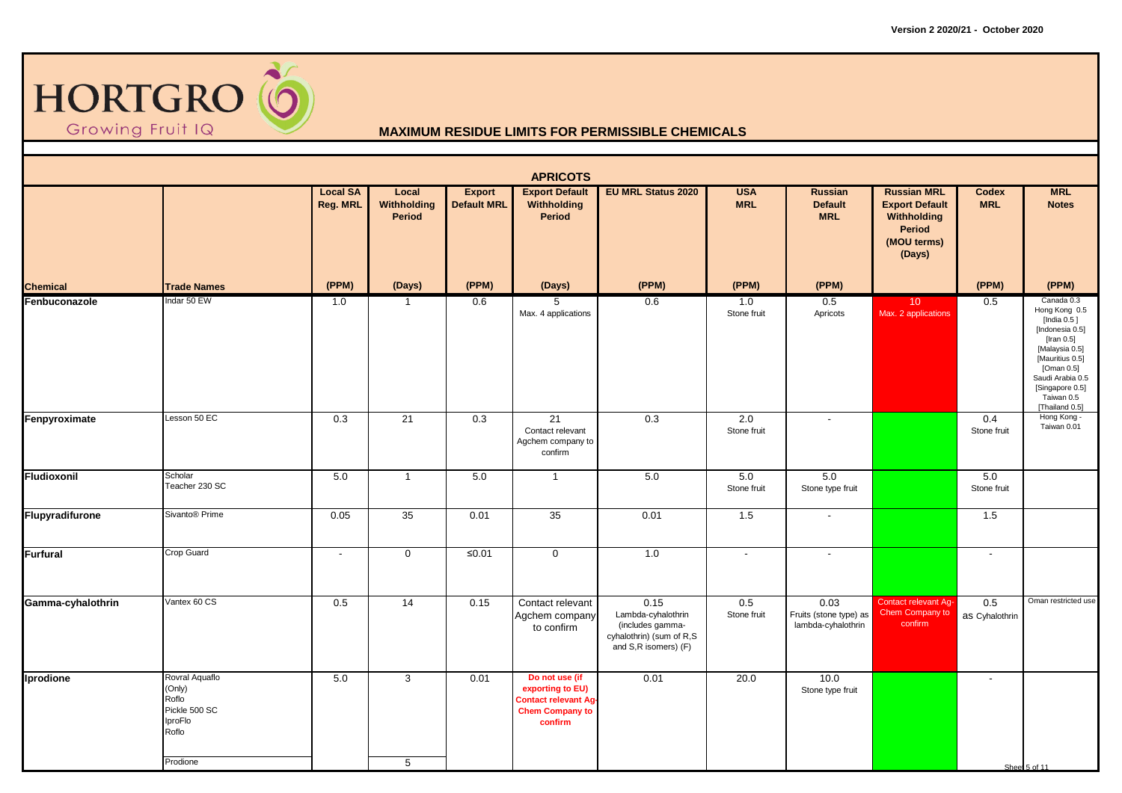

|                   |                                                                                    |                                    |                                |                                     | <b>APRICOTS</b>                                                                                        |                                                                                                    |                          |                                                      |                                                                                                      |                            |                                                                                                                                                                                                       |
|-------------------|------------------------------------------------------------------------------------|------------------------------------|--------------------------------|-------------------------------------|--------------------------------------------------------------------------------------------------------|----------------------------------------------------------------------------------------------------|--------------------------|------------------------------------------------------|------------------------------------------------------------------------------------------------------|----------------------------|-------------------------------------------------------------------------------------------------------------------------------------------------------------------------------------------------------|
|                   |                                                                                    | <b>Local SA</b><br><b>Reg. MRL</b> | Local<br>Withholding<br>Period | <b>Export</b><br><b>Default MRL</b> | <b>Export Default</b><br>Withholding<br>Period                                                         | <b>EU MRL Status 2020</b>                                                                          | <b>USA</b><br><b>MRL</b> | <b>Russian</b><br><b>Default</b><br><b>MRL</b>       | <b>Russian MRL</b><br><b>Export Default</b><br>Withholding<br><b>Period</b><br>(MOU terms)<br>(Days) | <b>Codex</b><br><b>MRL</b> | <b>MRL</b><br><b>Notes</b>                                                                                                                                                                            |
| <b>Chemical</b>   | <b>Trade Names</b>                                                                 | (PPM)                              | (Days)                         | (PPM)                               | (Days)                                                                                                 | (PPM)                                                                                              | (PPM)                    | (PPM)                                                |                                                                                                      | (PPM)                      | (PPM)                                                                                                                                                                                                 |
| Fenbuconazole     | Indar 50 EW                                                                        | 1.0                                | $\overline{1}$                 | 0.6                                 | 5<br>Max. 4 applications                                                                               | 0.6                                                                                                | 1.0<br>Stone fruit       | 0.5<br>Apricots                                      | 10 <sup>°</sup><br>Max. 2 applications                                                               | 0.5                        | Canada 0.3<br>Hong Kong 0.5<br>[India 0.5]<br>[Indonesia 0.5]<br>[Iran 0.5]<br>[Malaysia 0.5]<br>[Mauritius 0.5]<br>[Oman 0.5]<br>Saudi Arabia 0.5<br>[Singapore 0.5]<br>Taiwan 0.5<br>[Thailand 0.5] |
| Fenpyroximate     | Lesson 50 EC                                                                       | 0.3                                | 21                             | 0.3                                 | 21<br>Contact relevant<br>Agchem company to<br>confirm                                                 | 0.3                                                                                                | 2.0<br>Stone fruit       | $\sim$                                               |                                                                                                      | 0.4<br>Stone fruit         | Hong Kong -<br>Taiwan 0.01                                                                                                                                                                            |
| Fludioxonil       | Scholar<br>Teacher 230 SC                                                          | 5.0                                | $\overline{1}$                 | 5.0                                 | $\mathbf{1}$                                                                                           | 5.0                                                                                                | $5.0\,$<br>Stone fruit   | 5.0<br>Stone type fruit                              |                                                                                                      | 5.0<br>Stone fruit         |                                                                                                                                                                                                       |
| Flupyradifurone   | Sivanto <sup>®</sup> Prime                                                         | 0.05                               | 35                             | 0.01                                | 35                                                                                                     | 0.01                                                                                               | 1.5                      | $\sim$                                               |                                                                                                      | 1.5                        |                                                                                                                                                                                                       |
| Furfural          | Crop Guard                                                                         | $\overline{\phantom{a}}$           | $\mathbf 0$                    | $≤0.01$                             | $\mathbf 0$                                                                                            | 1.0                                                                                                | $\overline{\phantom{a}}$ | $\overline{\phantom{a}}$                             |                                                                                                      | $\overline{\phantom{a}}$   |                                                                                                                                                                                                       |
| Gamma-cyhalothrin | Vantex 60 CS                                                                       | 0.5                                | $\overline{14}$                | 0.15                                | Contact relevant<br>Agchem company<br>to confirm                                                       | 0.15<br>Lambda-cyhalothrin<br>(includes gamma-<br>cyhalothrin) (sum of R,S<br>and S,R isomers) (F) | 0.5<br>Stone fruit       | 0.03<br>Fruits (stone type) as<br>lambda-cyhalothrin | <b>Contact relevant Ag-</b><br>Chem Company to<br>confirm                                            | 0.5<br>as Cyhalothrin      | Oman restricted use                                                                                                                                                                                   |
| Iprodione         | Rovral Aquaflo<br>(Only)<br>Roflo<br>Pickle 500 SC<br>IproFlo<br>Roflo<br>Prodione | 5.0                                | 3<br>5                         | 0.01                                | Do not use (if<br>exporting to EU)<br><b>Contact relevant Ag-</b><br><b>Chem Company to</b><br>confirm | 0.01                                                                                               | 20.0                     | 10.0<br>Stone type fruit                             |                                                                                                      | $\overline{\phantom{a}}$   | Sheet 5 of 11                                                                                                                                                                                         |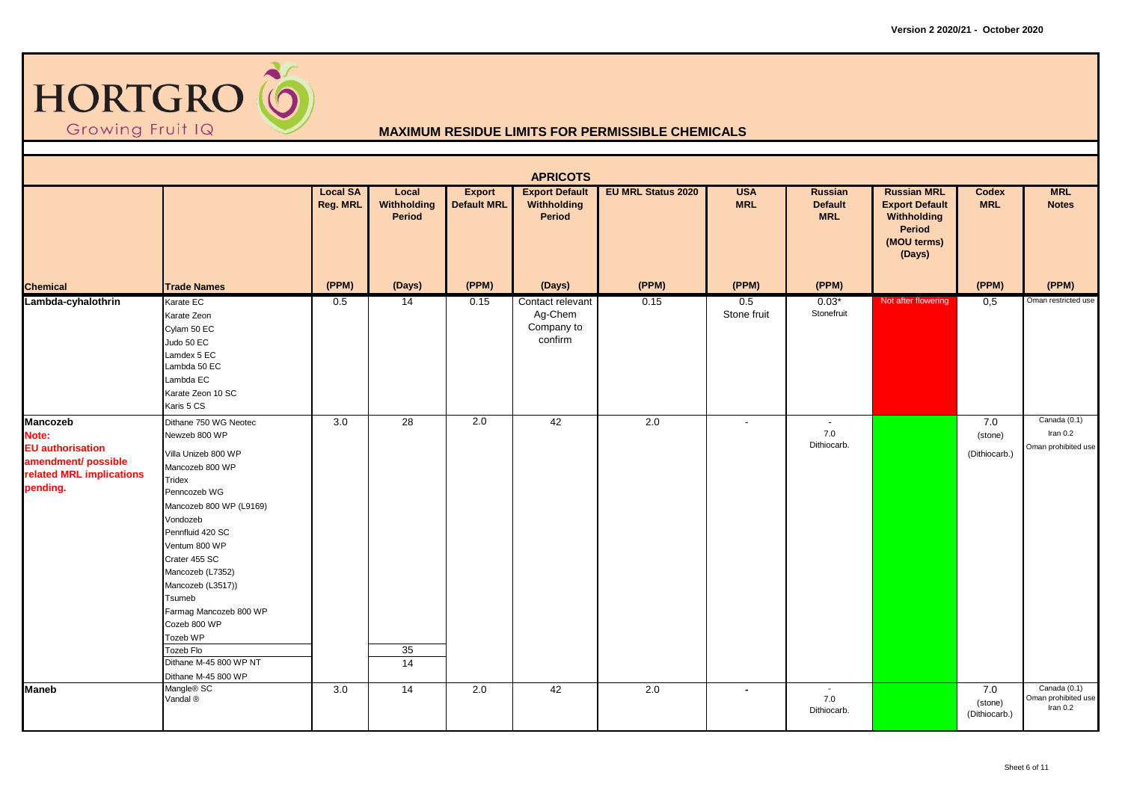

|                                                                                                                    |                                                                                                                                                                                                                                                                                                                                                                                |                             |                                |                              | <b>APRICOTS</b>                                      |                           |                          |                                                |                                                                                                      |                                 |                                                   |
|--------------------------------------------------------------------------------------------------------------------|--------------------------------------------------------------------------------------------------------------------------------------------------------------------------------------------------------------------------------------------------------------------------------------------------------------------------------------------------------------------------------|-----------------------------|--------------------------------|------------------------------|------------------------------------------------------|---------------------------|--------------------------|------------------------------------------------|------------------------------------------------------------------------------------------------------|---------------------------------|---------------------------------------------------|
|                                                                                                                    |                                                                                                                                                                                                                                                                                                                                                                                | <b>Local SA</b><br>Reg. MRL | Local<br>Withholding<br>Period | Export<br><b>Default MRL</b> | <b>Export Default</b><br>Withholding<br>Period       | <b>EU MRL Status 2020</b> | <b>USA</b><br><b>MRL</b> | Russian<br><b>Default</b><br><b>MRL</b>        | <b>Russian MRL</b><br><b>Export Default</b><br>Withholding<br><b>Period</b><br>(MOU terms)<br>(Days) | Codex<br><b>MRL</b>             | <b>MRL</b><br><b>Notes</b>                        |
| <b>Chemical</b>                                                                                                    | <b>Trade Names</b>                                                                                                                                                                                                                                                                                                                                                             | (PPM)                       | (Days)                         | (PPM)                        | (Days)                                               | (PPM)                     | (PPM)                    | (PPM)                                          |                                                                                                      | (PPM)                           | (PPM)                                             |
| Lambda-cyhalothrin                                                                                                 | Karate EC<br>Karate Zeon<br>Cylam 50 EC<br>Judo 50 EC<br>Lamdex 5 EC<br>Lambda 50 EC<br>Lambda EC<br>Karate Zeon 10 SC<br>Karis 5 CS                                                                                                                                                                                                                                           | 0.5                         | 14                             | 0.15                         | Contact relevant<br>Ag-Chem<br>Company to<br>confirm | 0.15                      | 0.5<br>Stone fruit       | $0.03*$<br>Stonefruit                          | Not after flowering                                                                                  | 0,5                             | Oman restricted use                               |
| <b>Mancozeb</b><br>Note:<br><b>EU</b> authorisation<br>amendment/ possible<br>related MRL implications<br>pending. | Dithane 750 WG Neotec<br>Newzeb 800 WP<br>Villa Unizeb 800 WP<br>Mancozeb 800 WP<br>Tridex<br>Penncozeb WG<br>Mancozeb 800 WP (L9169)<br>Vondozeb<br>Pennfluid 420 SC<br>Ventum 800 WP<br>Crater 455 SC<br>Mancozeb (L7352)<br>Mancozeb (L3517))<br>Tsumeb<br>Farmag Mancozeb 800 WP<br>Cozeb 800 WP<br>Tozeb WP<br>Tozeb Flo<br>Dithane M-45 800 WP NT<br>Dithane M-45 800 WP | 3.0                         | $\overline{28}$<br>35<br>14    | 2.0                          | 42                                                   | 2.0                       | $\overline{\phantom{a}}$ | $\overline{\phantom{a}}$<br>7.0<br>Dithiocarb. |                                                                                                      | 7.0<br>(stone)<br>(Dithiocarb.) | Canada (0.1)<br>Iran $0.2$<br>Oman prohibited use |
| <b>Maneb</b>                                                                                                       | Mangle <sup>®</sup> SC<br>Vandal ®                                                                                                                                                                                                                                                                                                                                             | 3.0                         | $\overline{14}$                | 2.0                          | 42                                                   | 2.0                       | $\sim$                   | $\sim$<br>7.0<br>Dithiocarb.                   |                                                                                                      | 7.0<br>(stone)<br>(Dithiocarb.) | Canada (0.1)<br>Oman prohibited use<br>Iran $0.2$ |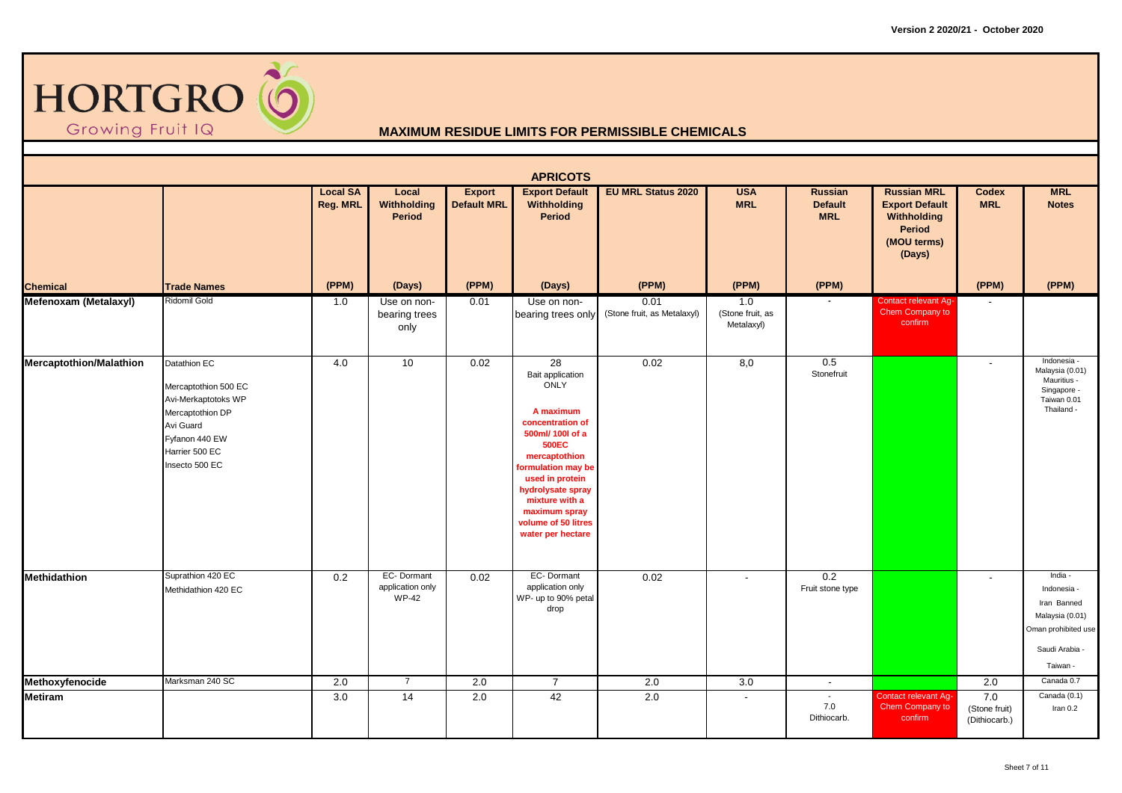

|                         |                                                                                                                                                    |                                    |                                                |                                     | <b>APRICOTS</b>                                                                                                                                                                                                                                                          |                                     |                                       |                                                |                                                                                               |                                       |                                                                                                               |
|-------------------------|----------------------------------------------------------------------------------------------------------------------------------------------------|------------------------------------|------------------------------------------------|-------------------------------------|--------------------------------------------------------------------------------------------------------------------------------------------------------------------------------------------------------------------------------------------------------------------------|-------------------------------------|---------------------------------------|------------------------------------------------|-----------------------------------------------------------------------------------------------|---------------------------------------|---------------------------------------------------------------------------------------------------------------|
|                         |                                                                                                                                                    | <b>Local SA</b><br><b>Reg. MRL</b> | Local<br><b>Withholding</b><br>Period          | <b>Export</b><br><b>Default MRL</b> | <b>Export Default</b><br>Withholding<br><b>Period</b>                                                                                                                                                                                                                    | <b>EU MRL Status 2020</b>           | <b>USA</b><br><b>MRL</b>              | <b>Russian</b><br><b>Default</b><br><b>MRL</b> | <b>Russian MRL</b><br><b>Export Default</b><br>Withholding<br>Period<br>(MOU terms)<br>(Days) | Codex<br><b>MRL</b>                   | <b>MRL</b><br><b>Notes</b>                                                                                    |
| <b>Chemical</b>         | <b>Trade Names</b>                                                                                                                                 | (PPM)                              | (Days)                                         | (PPM)                               | (Days)                                                                                                                                                                                                                                                                   | (PPM)                               | (PPM)                                 | (PPM)                                          |                                                                                               | (PPM)                                 | (PPM)                                                                                                         |
| Mefenoxam (Metalaxyl)   | Ridomil Gold                                                                                                                                       | 1.0                                | Use on non-<br>bearing trees<br>only           | 0.01                                | Use on non-<br>bearing trees only                                                                                                                                                                                                                                        | 0.01<br>(Stone fruit, as Metalaxyl) | 1.0<br>(Stone fruit, as<br>Metalaxyl) |                                                | <b>Contact relevant Ag-</b><br>Chem Company to<br>confirm                                     |                                       |                                                                                                               |
| Mercaptothion/Malathion | Datathion EC<br>Mercaptothion 500 EC<br>Avi-Merkaptotoks WP<br>Mercaptothion DP<br>Avi Guard<br>Fyfanon 440 EW<br>Harrier 500 EC<br>Insecto 500 EC | 4.0                                | 10                                             | 0.02                                | 28<br>Bait application<br><b>ONLY</b><br>A maximum<br>concentration of<br>500ml/ 100l of a<br><b>500EC</b><br>mercaptothion<br>formulation may be<br>used in protein<br>hydrolysate spray<br>mixture with a<br>maximum spray<br>volume of 50 litres<br>water per hectare | 0.02                                | 8,0                                   | 0.5<br>Stonefruit                              |                                                                                               | $\overline{a}$                        | Indonesia -<br>Malaysia (0.01)<br>Mauritius -<br>Singapore -<br>Taiwan 0.01<br>Thailand -                     |
| Methidathion            | Suprathion 420 EC<br>Methidathion 420 EC                                                                                                           | 0.2                                | EC-Dormant<br>application only<br><b>WP-42</b> | 0.02                                | EC-Dormant<br>application only<br>WP- up to 90% petal<br>drop                                                                                                                                                                                                            | 0.02                                | $\sim$                                | $\overline{0.2}$<br>Fruit stone type           |                                                                                               | $\overline{\phantom{a}}$              | India -<br>Indonesia -<br>Iran Banned<br>Malaysia (0.01)<br>Oman prohibited use<br>Saudi Arabia -<br>Taiwan - |
| Methoxyfenocide         | Marksman 240 SC                                                                                                                                    | 2.0                                | $\overline{7}$                                 | 2.0                                 | $\overline{7}$                                                                                                                                                                                                                                                           | 2.0                                 | 3.0                                   | $\sim$                                         |                                                                                               | 2.0                                   | Canada 0.7                                                                                                    |
| <b>Metiram</b>          |                                                                                                                                                    | 3.0                                | 14                                             | 2.0                                 | 42                                                                                                                                                                                                                                                                       | 2.0                                 | $\overline{\phantom{a}}$              | $\sim$<br>7.0<br>Dithiocarb.                   | <b>Contact relevant Ag-</b><br>Chem Company to<br>confirm                                     | 7.0<br>(Stone fruit)<br>(Dithiocarb.) | Canada (0.1)<br>Iran 0.2                                                                                      |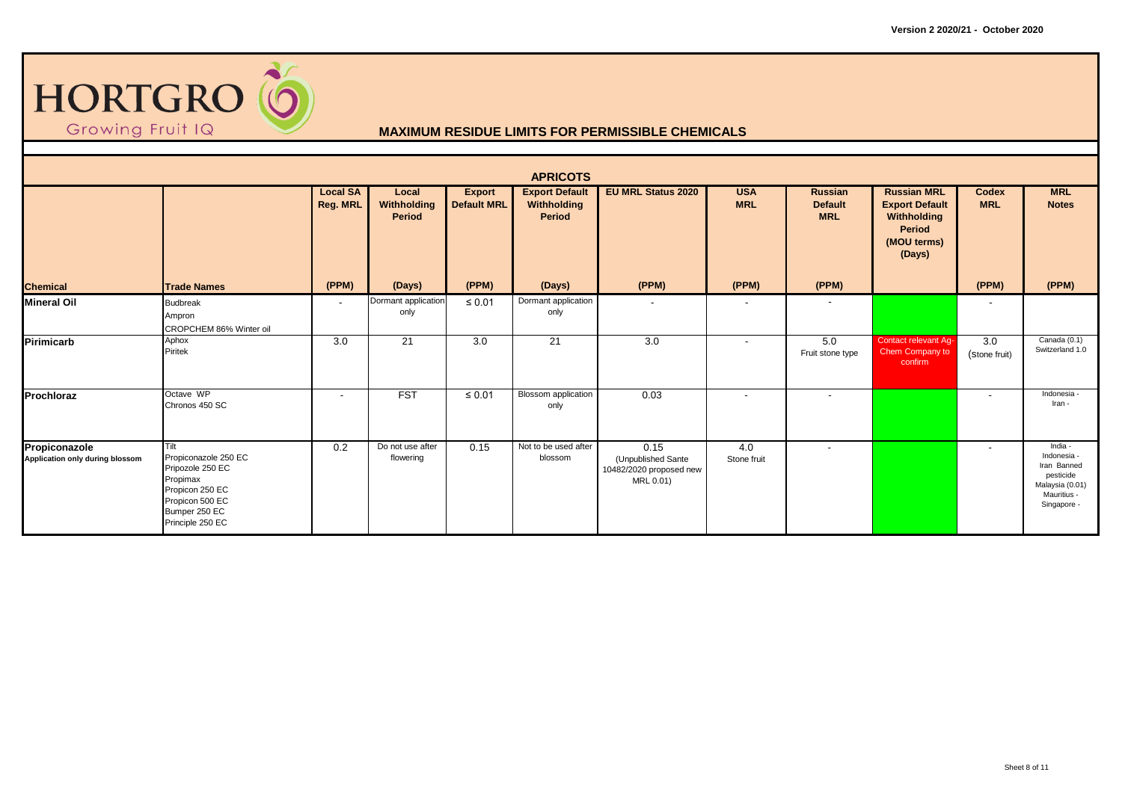

|                                                  |                                                                                                                                         |                                    |                                |                                     | <b>APRICOTS</b>                                       |                                                                    |                          |                                                |                                                                                                      |                            |                                                                                                     |
|--------------------------------------------------|-----------------------------------------------------------------------------------------------------------------------------------------|------------------------------------|--------------------------------|-------------------------------------|-------------------------------------------------------|--------------------------------------------------------------------|--------------------------|------------------------------------------------|------------------------------------------------------------------------------------------------------|----------------------------|-----------------------------------------------------------------------------------------------------|
|                                                  |                                                                                                                                         | <b>Local SA</b><br><b>Reg. MRL</b> | Local<br>Withholding<br>Period | <b>Export</b><br><b>Default MRL</b> | <b>Export Default</b><br>Withholding<br><b>Period</b> | <b>EU MRL Status 2020</b>                                          | <b>USA</b><br><b>MRL</b> | <b>Russian</b><br><b>Default</b><br><b>MRL</b> | <b>Russian MRL</b><br><b>Export Default</b><br>Withholding<br><b>Period</b><br>(MOU terms)<br>(Days) | <b>Codex</b><br><b>MRL</b> | <b>MRL</b><br><b>Notes</b>                                                                          |
| <b>Chemical</b>                                  | <b>Trade Names</b>                                                                                                                      | (PPM)                              | (Days)                         | (PPM)                               | (Days)                                                | (PPM)                                                              | (PPM)                    | (PPM)                                          |                                                                                                      | (PPM)                      | (PPM)                                                                                               |
| <b>Mineral Oil</b>                               | <b>Budbreak</b><br>Ampron<br>CROPCHEM 86% Winter oil                                                                                    | $\overline{\phantom{a}}$           | Dormant application<br>only    | $\leq 0.01$                         | Dormant application<br>only                           |                                                                    | $\overline{\phantom{0}}$ | $\overline{\phantom{a}}$                       |                                                                                                      |                            |                                                                                                     |
| <b>Pirimicarb</b>                                | Aphox<br>Piritek                                                                                                                        | 3.0                                | 21                             | 3.0                                 | 21                                                    | 3.0                                                                | $\overline{\phantom{a}}$ | 5.0<br>Fruit stone type                        | <b>Contact relevant Ag-</b><br>Chem Company to<br>confirm                                            | 3.0<br>(Stone fruit)       | Canada (0.1)<br>Switzerland 1.0                                                                     |
| Prochloraz                                       | Octave WP<br>Chronos 450 SC                                                                                                             | $\overline{\phantom{a}}$           | <b>FST</b>                     | $\leq 0.01$                         | <b>Blossom</b> application<br>only                    | 0.03                                                               |                          | $\overline{\phantom{a}}$                       |                                                                                                      |                            | Indonesia<br>Iran -                                                                                 |
| Propiconazole<br>Application only during blossom | Tilt<br>Propiconazole 250 EC<br>Pripozole 250 EC<br>Propimax<br>Propicon 250 EC<br>Propicon 500 EC<br>Bumper 250 EC<br>Principle 250 EC | 0.2                                | Do not use after<br>flowering  | 0.15                                | Not to be used after<br>blossom                       | 0.15<br>(Unpublished Sante<br>10482/2020 proposed new<br>MRL 0.01) | 4.0<br>Stone fruit       | $\overline{a}$                                 |                                                                                                      | $\overline{\phantom{a}}$   | India -<br>Indonesia -<br>Iran Banned<br>pesticide<br>Malaysia (0.01)<br>Mauritius -<br>Singapore - |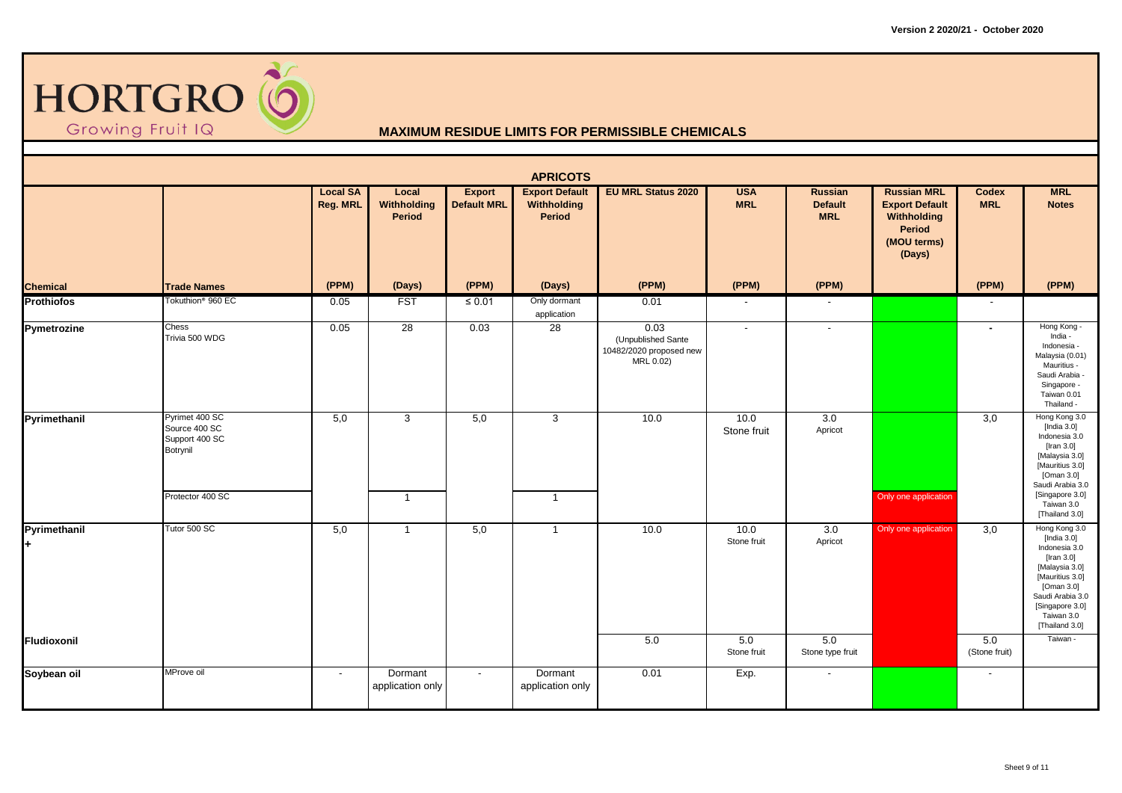

|                    |                                                                                   |                             |                                       |                                     | <b>APRICOTS</b>                                |                                                                    |                          |                                         |                                                                                                      |                            |                                                                                                                                                                                          |
|--------------------|-----------------------------------------------------------------------------------|-----------------------------|---------------------------------------|-------------------------------------|------------------------------------------------|--------------------------------------------------------------------|--------------------------|-----------------------------------------|------------------------------------------------------------------------------------------------------|----------------------------|------------------------------------------------------------------------------------------------------------------------------------------------------------------------------------------|
|                    |                                                                                   | <b>Local SA</b><br>Reg. MRL | Local<br>Withholding<br><b>Period</b> | <b>Export</b><br><b>Default MRL</b> | <b>Export Default</b><br>Withholding<br>Period | <b>EU MRL Status 2020</b>                                          | <b>USA</b><br><b>MRL</b> | Russian<br><b>Default</b><br><b>MRL</b> | <b>Russian MRL</b><br><b>Export Default</b><br>Withholding<br><b>Period</b><br>(MOU terms)<br>(Days) | <b>Codex</b><br><b>MRL</b> | <b>MRL</b><br><b>Notes</b>                                                                                                                                                               |
| <b>Chemical</b>    | <b>Trade Names</b>                                                                | (PPM)                       | (Days)                                | (PPM)                               | (Days)                                         | (PPM)                                                              | (PPM)                    | (PPM)                                   |                                                                                                      | (PPM)                      | (PPM)                                                                                                                                                                                    |
| <b>Prothiofos</b>  | Tokuthion <sup>®</sup> 960 EC                                                     | 0.05                        | <b>FST</b>                            | $\leq 0.01$                         | Only dormant<br>application                    | 0.01                                                               | $\overline{\phantom{a}}$ | $\overline{\phantom{a}}$                |                                                                                                      |                            |                                                                                                                                                                                          |
| Pymetrozine        | Chess<br>Trivia 500 WDG                                                           | 0.05                        | 28                                    | 0.03                                | 28                                             | 0.03<br>(Unpublished Sante<br>10482/2020 proposed new<br>MRL 0.02) | $\sim$                   | $\overline{\phantom{a}}$                |                                                                                                      | $\sim$                     | Hong Kong -<br>India -<br>Indonesia -<br>Malaysia (0.01)<br>Mauritius -<br>Saudi Arabia -<br>Singapore -<br>Taiwan 0.01<br>Thailand -                                                    |
| Pyrimethanil       | Pyrimet 400 SC<br>Source 400 SC<br>Support 400 SC<br>Botrynil<br>Protector 400 SC | 5,0                         | 3                                     | 5,0                                 | 3                                              | 10.0                                                               | 10.0<br>Stone fruit      | 3.0<br>Apricot                          |                                                                                                      | 3,0                        | Hong Kong 3.0<br>[India $3.0$ ]<br>Indonesia 3.0<br>[Iran 3.0]<br>[Malaysia 3.0]<br>[Mauritius 3.0]<br>[Oman 3.0]<br>Saudi Arabia 3.0<br>[Singapore 3.0]                                 |
|                    |                                                                                   |                             | $\overline{1}$                        |                                     | $\overline{1}$                                 |                                                                    |                          |                                         | Only one application                                                                                 |                            | Taiwan 3.0<br>[Thailand 3.0]                                                                                                                                                             |
| Pyrimethanil<br>H. | Tutor 500 SC                                                                      | 5,0                         | $\overline{1}$                        | 5,0                                 | $\overline{1}$                                 | 10.0                                                               | 10.0<br>Stone fruit      | 3.0<br>Apricot                          | Only one application                                                                                 | 3,0                        | Hong Kong 3.0<br>[India $3.0$ ]<br>Indonesia 3.0<br>[Iran 3.0]<br>[Malaysia 3.0]<br>[Mauritius 3.0]<br>[Oman 3.0]<br>Saudi Arabia 3.0<br>[Singapore 3.0]<br>Taiwan 3.0<br>[Thailand 3.0] |
| Fludioxonil        |                                                                                   |                             |                                       |                                     |                                                | 5.0                                                                | 5.0<br>Stone fruit       | 5.0<br>Stone type fruit                 |                                                                                                      | 5.0<br>(Stone fruit)       | Taiwan -                                                                                                                                                                                 |
| Soybean oil        | MProve oil                                                                        | $\sim$                      | Dormant<br>application only           | $\sim$                              | Dormant<br>application only                    | 0.01                                                               | Exp.                     | $\sim$                                  |                                                                                                      | $\sim$                     |                                                                                                                                                                                          |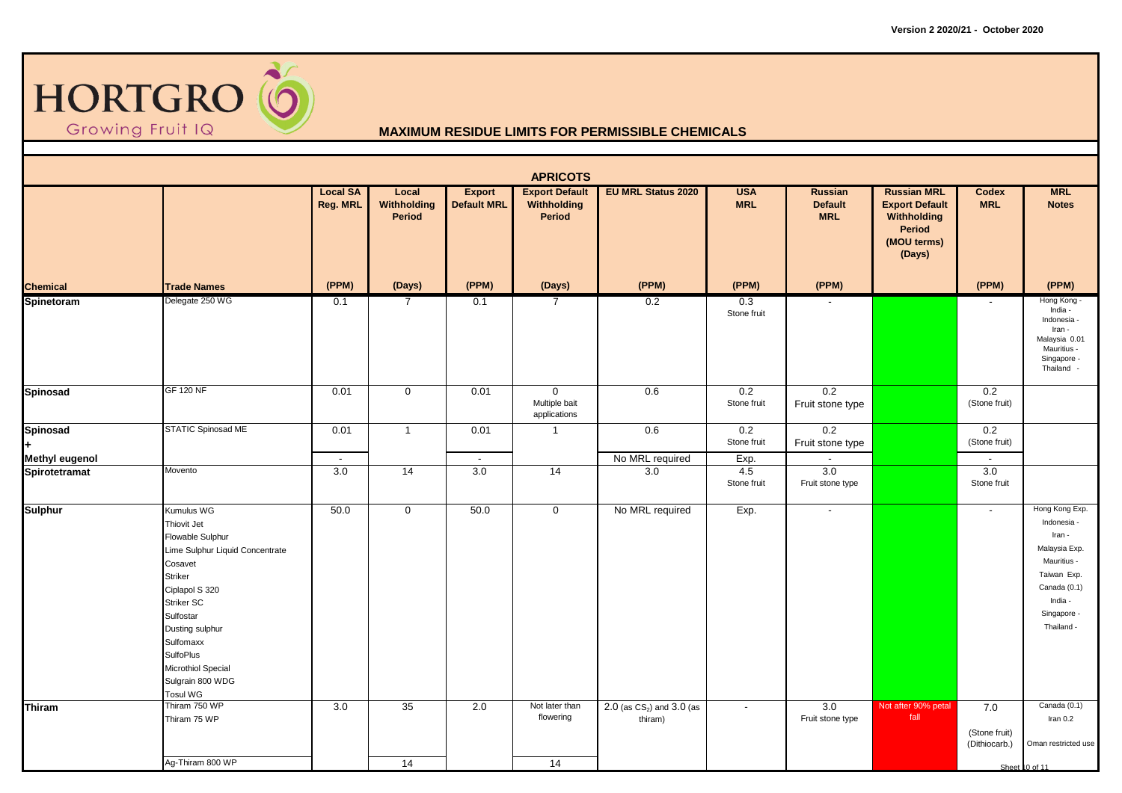

|                                   |                                                                                                                                                                                                                                                                      |                             |                                |                                     | <b>APRICOTS</b>                                |                                         |                            |                                                |                                                                                                      |                                                  |                                                                                                                                                |
|-----------------------------------|----------------------------------------------------------------------------------------------------------------------------------------------------------------------------------------------------------------------------------------------------------------------|-----------------------------|--------------------------------|-------------------------------------|------------------------------------------------|-----------------------------------------|----------------------------|------------------------------------------------|------------------------------------------------------------------------------------------------------|--------------------------------------------------|------------------------------------------------------------------------------------------------------------------------------------------------|
|                                   |                                                                                                                                                                                                                                                                      | <b>Local SA</b><br>Reg. MRL | Local<br>Withholding<br>Period | <b>Export</b><br><b>Default MRL</b> | <b>Export Default</b><br>Withholding<br>Period | <b>EU MRL Status 2020</b>               | <b>USA</b><br><b>MRL</b>   | <b>Russian</b><br><b>Default</b><br><b>MRL</b> | <b>Russian MRL</b><br><b>Export Default</b><br>Withholding<br><b>Period</b><br>(MOU terms)<br>(Days) | <b>Codex</b><br><b>MRL</b>                       | <b>MRL</b><br><b>Notes</b>                                                                                                                     |
| <b>Chemical</b>                   | <b>Trade Names</b>                                                                                                                                                                                                                                                   | (PPM)                       | (Days)                         | (PPM)                               | (Days)                                         | (PPM)                                   | (PPM)                      | (PPM)                                          |                                                                                                      | (PPM)                                            | (PPM)                                                                                                                                          |
| Spinetoram                        | Delegate 250 WG                                                                                                                                                                                                                                                      | 0.1                         | $\overline{7}$                 | 0.1                                 | 7                                              | 0.2                                     | 0.3<br>Stone fruit         |                                                |                                                                                                      |                                                  | Hong Kong -<br>India -<br>Indonesia -<br>Iran -<br>Malaysia 0.01<br>Mauritius -<br>Singapore -<br>Thailand -                                   |
| Spinosad                          | <b>GF 120 NF</b>                                                                                                                                                                                                                                                     | 0.01                        | $\mathbf 0$                    | 0.01                                | $\mathbf 0$<br>Multiple bait<br>applications   | 0.6                                     | 0.2<br>Stone fruit         | 0.2<br>Fruit stone type                        |                                                                                                      | 0.2<br>(Stone fruit)                             |                                                                                                                                                |
| Spinosad<br><b>Methyl eugenol</b> | STATIC Spinosad ME                                                                                                                                                                                                                                                   | 0.01<br>$\sim$              | $\overline{1}$                 | 0.01<br>$\blacksquare$              | -1                                             | 0.6<br>No MRL required                  | 0.2<br>Stone fruit<br>Exp. | 0.2<br>Fruit stone type                        |                                                                                                      | 0.2<br>(Stone fruit)<br>$\overline{\phantom{a}}$ |                                                                                                                                                |
| Spirotetramat                     | Movento                                                                                                                                                                                                                                                              | 3.0                         | 14                             | 3.0                                 | 14                                             | 3.0                                     | 4.5<br>Stone fruit         | 3.0<br>Fruit stone type                        |                                                                                                      | 3.0<br>Stone fruit                               |                                                                                                                                                |
| <b>Sulphur</b>                    | Kumulus WG<br>Thiovit Jet<br>Flowable Sulphur<br>Lime Sulphur Liquid Concentrate<br>Cosavet<br><b>Striker</b><br>Ciplapol S 320<br>Striker SC<br>Sulfostar<br>Dusting sulphur<br>Sulfomaxx<br><b>SulfoPlus</b><br>Microthiol Special<br>Sulgrain 800 WDG<br>Tosul WG | 50.0                        | $\mathbf 0$                    | 50.0                                | $\mathbf 0$                                    | No MRL required                         | Exp.                       | $\sim$                                         |                                                                                                      | $\overline{\phantom{a}}$                         | Hong Kong Exp.<br>Indonesia -<br>Iran -<br>Malaysia Exp.<br>Mauritius -<br>Taiwan Exp.<br>Canada (0.1)<br>India -<br>Singapore -<br>Thailand - |
| Thiram                            | Thiram 750 WP<br>Thiram 75 WP                                                                                                                                                                                                                                        | 3.0                         | 35                             | 2.0                                 | Not later than<br>flowering                    | 2.0 (as $CS_2$ ) and 3.0 (as<br>thiram) | $\overline{\phantom{a}}$   | 3.0<br>Fruit stone type                        | Not after 90% petal<br>fall                                                                          | 7.0<br>(Stone fruit)<br>(Dithiocarb.)            | Canada (0.1)<br>Iran $0.2$<br>Oman restricted use                                                                                              |
|                                   | Ag-Thiram 800 WP                                                                                                                                                                                                                                                     |                             | 14                             |                                     | 14                                             |                                         |                            |                                                |                                                                                                      |                                                  | Sheet 10 of 11                                                                                                                                 |